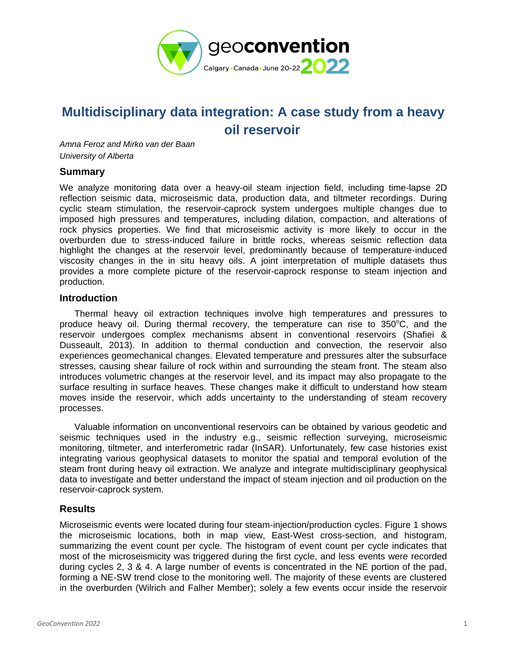

# **Multidisciplinary data integration: A case study from a heavy oil reservoir**

*Amna Feroz and Mirko van der Baan University of Alberta*

### **Summary**

We analyze monitoring data over a heavy-oil steam injection field, including time-lapse 2D reflection seismic data, microseismic data, production data, and tiltmeter recordings. During cyclic steam stimulation, the reservoir-caprock system undergoes multiple changes due to imposed high pressures and temperatures, including dilation, compaction, and alterations of rock physics properties. We find that microseismic activity is more likely to occur in the overburden due to stress-induced failure in brittle rocks, whereas seismic reflection data highlight the changes at the reservoir level, predominantly because of temperature-induced viscosity changes in the in situ heavy oils. A joint interpretation of multiple datasets thus provides a more complete picture of the reservoir-caprock response to steam injection and production.

### **Introduction**

Thermal heavy oil extraction techniques involve high temperatures and pressures to produce heavy oil. During thermal recovery, the temperature can rise to  $350^{\circ}$ C, and the reservoir undergoes complex mechanisms absent in conventional reservoirs (Shafiei & Dusseault, 2013). In addition to thermal conduction and convection, the reservoir also experiences geomechanical changes. Elevated temperature and pressures alter the subsurface stresses, causing shear failure of rock within and surrounding the steam front. The steam also introduces volumetric changes at the reservoir level, and its impact may also propagate to the surface resulting in surface heaves. These changes make it difficult to understand how steam moves inside the reservoir, which adds uncertainty to the understanding of steam recovery processes.

Valuable information on unconventional reservoirs can be obtained by various geodetic and seismic techniques used in the industry e.g., seismic reflection surveying, microseismic monitoring, tiltmeter, and interferometric radar (InSAR). Unfortunately, few case histories exist integrating various geophysical datasets to monitor the spatial and temporal evolution of the steam front during heavy oil extraction. We analyze and integrate multidisciplinary geophysical data to investigate and better understand the impact of steam injection and oil production on the reservoir-caprock system.

## **Results**

Microseismic events were located during four steam-injection/production cycles. Figure 1 shows the microseismic locations, both in map view, East-West cross-section, and histogram, summarizing the event count per cycle. The histogram of event count per cycle indicates that most of the microseismicity was triggered during the first cycle, and less events were recorded during cycles 2, 3 & 4. A large number of events is concentrated in the NE portion of the pad, forming a NE-SW trend close to the monitoring well. The majority of these events are clustered in the overburden (Wilrich and Falher Member); solely a few events occur inside the reservoir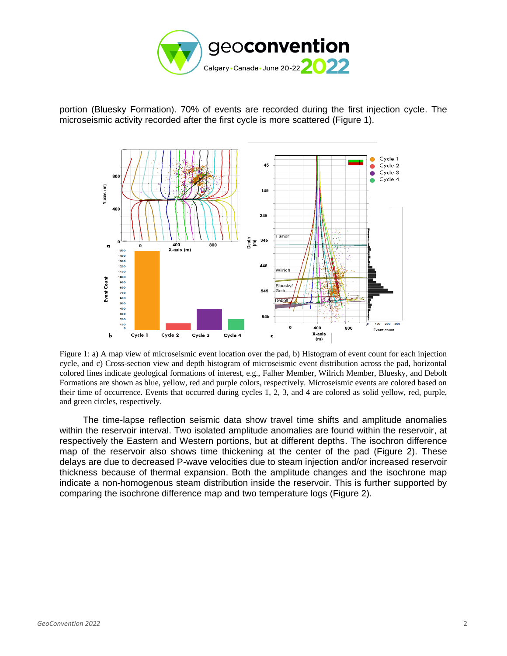

portion (Bluesky Formation). 70% of events are recorded during the first injection cycle. The microseismic activity recorded after the first cycle is more scattered (Figure 1).



Figure 1: a) A map view of microseismic event location over the pad, b) Histogram of event count for each injection cycle, and c) Cross-section view and depth histogram of microseismic event distribution across the pad, horizontal colored lines indicate geological formations of interest, e.g., Falher Member, Wilrich Member, Bluesky, and Debolt Formations are shown as blue, yellow, red and purple colors, respectively. Microseismic events are colored based on their time of occurrence. Events that occurred during cycles 1, 2, 3, and 4 are colored as solid yellow, red, purple, and green circles, respectively.

The time-lapse reflection seismic data show travel time shifts and amplitude anomalies within the reservoir interval. Two isolated amplitude anomalies are found within the reservoir, at respectively the Eastern and Western portions, but at different depths. The isochron difference map of the reservoir also shows time thickening at the center of the pad (Figure 2). These delays are due to decreased P-wave velocities due to steam injection and/or increased reservoir thickness because of thermal expansion. Both the amplitude changes and the isochrone map indicate a non-homogenous steam distribution inside the reservoir. This is further supported by comparing the isochrone difference map and two temperature logs (Figure 2).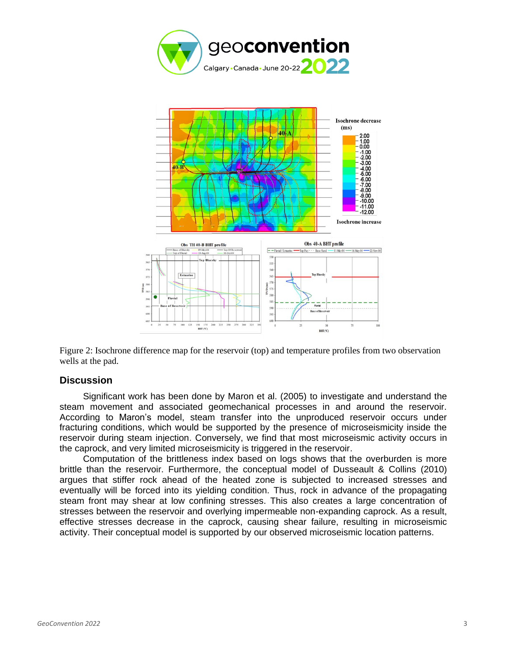



Figure 2: Isochrone difference map for the reservoir (top) and temperature profiles from two observation wells at the pad.

#### **Discussion**

Significant work has been done by Maron et al. (2005) to investigate and understand the steam movement and associated geomechanical processes in and around the reservoir. According to Maron's model, steam transfer into the unproduced reservoir occurs under fracturing conditions, which would be supported by the presence of microseismicity inside the reservoir during steam injection. Conversely, we find that most microseismic activity occurs in the caprock, and very limited microseismicity is triggered in the reservoir.

Computation of the brittleness index based on logs shows that the overburden is more brittle than the reservoir. Furthermore, the conceptual model of Dusseault & Collins (2010) argues that stiffer rock ahead of the heated zone is subjected to increased stresses and eventually will be forced into its yielding condition. Thus, rock in advance of the propagating steam front may shear at low confining stresses. This also creates a large concentration of stresses between the reservoir and overlying impermeable non-expanding caprock. As a result, effective stresses decrease in the caprock, causing shear failure, resulting in microseismic activity. Their conceptual model is supported by our observed microseismic location patterns.